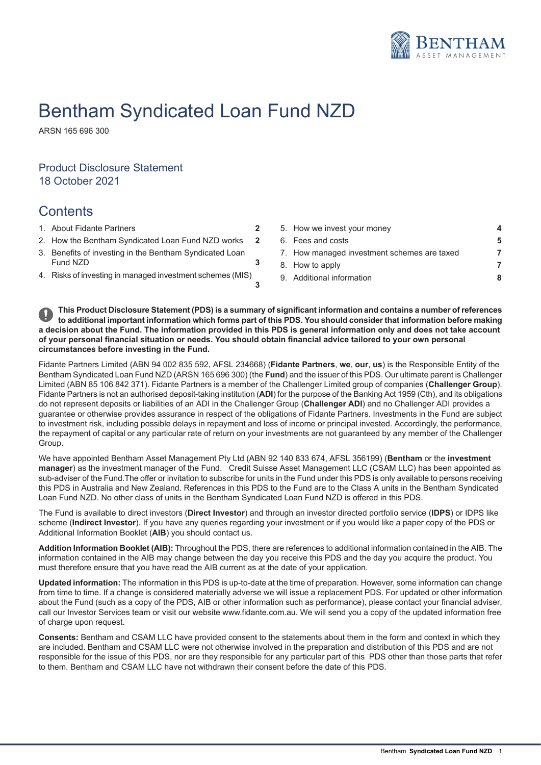

# Bentham Syndicated Loan Fund NZD

ARSN 165 696 300

# Product Disclosure Statement 18 October 2021

# **Contents**

- 1. About Fidante Partners **2. About 7. How we invest your money of the investment of 2.**
- 2. How the Bentham Syndicated Loan Fund NZD works 2
- 3. Benefits of investing in the Bentham Syndicated Loan
- 4. Risks of investing in managed investment schemes (MIS)

| About Fidante Partners                                 |  | 5. How we invest your money                 |    |  |
|--------------------------------------------------------|--|---------------------------------------------|----|--|
| How the Bentham Syndicated Loan Fund NZD works         |  | 6. Fees and costs                           | -5 |  |
| Benefits of investing in the Bentham Syndicated Loan   |  | 7. How managed investment schemes are taxed |    |  |
| Fund NZD                                               |  | 8. How to apply                             |    |  |
| Risks of investing in managed investment schemes (MIS) |  | 9. Additional information                   | 8  |  |
|                                                        |  |                                             |    |  |

This Product Disclosure Statement (PDS) is a summary of significant information and contains a number of references to additional important information which forms part of this PDS. You should consider that information before making a decision about the Fund. The information provided in this PDS is general information only and does not take account of your personal financial situation or needs. You should obtain financial advice tailored to your own personal **circumstances before investing in the Fund.**

**3**

Fidante Partners Limited (ABN 94 002 835 592, AFSL 234668) (**Fidante Partners**, **we**, **our**, **us**) is the Responsible Entity of the Bentham Syndicated Loan Fund NZD (ARSN 165 696 300) (the **Fund**) and the issuer of this PDS. Our ultimate parent is Challenger Limited (ABN 85 106 842 371). Fidante Partners is a member of the Challenger Limited group of companies (**Challenger Group**). Fidante Partners is not an authorised deposit-taking institution (**ADI**) for the purpose of the Banking Act 1959 (Cth), and its obligations do not represent deposits or liabilities of an ADI in the Challenger Group (**Challenger ADI**) and no Challenger ADI provides a guarantee or otherwise provides assurance in respect of the obligations of Fidante Partners. Investments in the Fund are subject to investment risk, including possible delays in repayment and loss of income or principal invested. Accordingly, the performance, the repayment of capital or any particular rate of return on your investments are not guaranteed by any member of the Challenger Group.

We have appointed Bentham Asset Management Pty Ltd (ABN 92 140 833 674, AFSL 356199) (**Bentham** or the **investment manager**) as the investment manager of the Fund. Credit Suisse Asset Management LLC (CSAM LLC) has been appointed as sub-adviser of the Fund.The offer or invitation to subscribe for units in the Fund under this PDS is only available to persons receiving this PDS in Australia and New Zealand. References in this PDS to the Fund are to the Class A units in the Bentham Syndicated Loan Fund NZD. No other class of units in the Bentham Syndicated Loan Fund NZD is offered in this PDS.

The Fund is available to direct investors (**Direct Investor**) and through an investor directed portfolio service (**IDPS**) or IDPS like scheme (**Indirect Investor**). If you have any queries regarding your investment or if you would like a paper copy of the PDS or Additional Information Booklet (**AIB**) you should contact us.

**Addition Information Booklet (AIB):** Throughout the PDS, there are references to additional information contained in the AIB. The information contained in the AIB may change between the day you receive this PDS and the day you acquire the product. You must therefore ensure that you have read the AIB current as at the date of your application.

**Updated information:** The information in this PDS is up-to-date at the time of preparation. However, some information can change from time to time. If a change is considered materially adverse we will issue a replacement PDS. For updated or other information about the Fund (such as a copy of the PDS, AIB or other information such as performance), please contact your financial adviser, call our Investor Services team or visit our website www.fidante.com.au. We will send you a copy of the updated information free of charge upon request.

**Consents:** Bentham and CSAM LLC have provided consent to the statements about them in the form and context in which they are included. Bentham and CSAM LLC were not otherwise involved in the preparation and distribution of this PDS and are not responsible for the issue of this PDS, nor are they responsible for any particular part of this PDS other than those parts that refer to them. Bentham and CSAM LLC have not withdrawn their consent before the date of this PDS.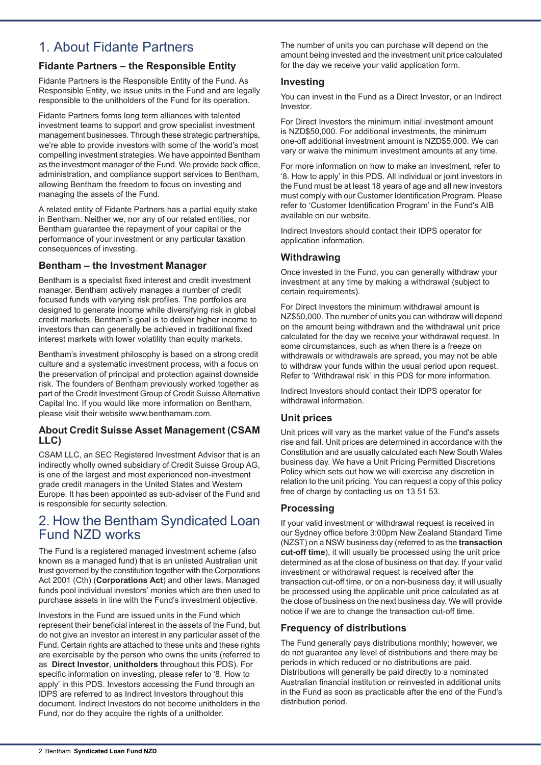# 1. About Fidante Partners

# **Fidante Partners – the Responsible Entity**

Fidante Partners is the Responsible Entity of the Fund. As Responsible Entity, we issue units in the Fund and are legally responsible to the unitholders of the Fund for its operation.

Fidante Partners forms long term alliances with talented investment teams to support and grow specialist investment management businesses. Through these strategic partnerships, we're able to provide investors with some of the world's most compelling investment strategies. We have appointed Bentham as the investment manager of the Fund. We provide back office, administration, and compliance support services to Bentham, allowing Bentham the freedom to focus on investing and managing the assets of the Fund.

A related entity of Fidante Partners has a partial equity stake in Bentham. Neither we, nor any of our related entities, nor Bentham guarantee the repayment of your capital or the performance of your investment or any particular taxation consequences of investing.

## **Bentham – the Investment Manager**

Bentham is a specialist fixed interest and credit investment manager. Bentham actively manages a number of credit focused funds with varying risk profiles. The portfolios are designed to generate income while diversifying risk in global credit markets. Bentham's goal is to deliver higher income to investors than can generally be achieved in traditional fixed interest markets with lower volatility than equity markets.

Bentham's investment philosophy is based on a strong credit culture and a systematic investment process, with a focus on the preservation of principal and protection against downside risk. The founders of Bentham previously worked together as part of the Credit Investment Group of Credit Suisse Alternative Capital Inc. If you would like more information on Bentham, please visit their website www.benthamam.com.

## **About Credit Suisse Asset Management (CSAM LLC)**

CSAM LLC, an SEC Registered Investment Advisor that is an indirectly wholly owned subsidiary of Credit Suisse Group AG, is one of the largest and most experienced non-investment grade credit managers in the United States and Western Europe. It has been appointed as sub-adviser of the Fund and is responsible for security selection.

# 2. How the Bentham Syndicated Loan Fund NZD works

The Fund is a registered managed investment scheme (also known as a managed fund) that is an unlisted Australian unit trust governed by the constitution together with the Corporations Act 2001 (Cth) (**Corporations Act**) and other laws. Managed funds pool individual investors' monies which are then used to purchase assets in line with the Fund's investment objective.

Investors in the Fund are issued units in the Fund which represent their beneficial interest in the assets of the Fund, but do not give an investor an interest in any particular asset of the Fund. Certain rights are attached to these units and these rights are exercisable by the person who owns the units (referred to as **Direct Investor**, **unitholders** throughout this PDS). For specific information on investing, please refer to '8. How to apply' in this PDS. Investors accessing the Fund through an IDPS are referred to as Indirect Investors throughout this document. Indirect Investors do not become unitholders in the Fund, nor do they acquire the rights of a unitholder.

The number of units you can purchase will depend on the amount being invested and the investment unit price calculated for the day we receive your valid application form.

### **Investing**

You can invest in the Fund as a Direct Investor, or an Indirect Investor.

For Direct Investors the minimum initial investment amount is NZD\$50,000. For additional investments, the minimum one-off additional investment amount is NZD\$5,000. We can vary or waive the minimum investment amounts at any time.

For more information on how to make an investment, refer to '8. How to apply' in this PDS. All individual or joint investors in the Fund must be at least 18 years of age and all new investors must comply with our Customer Identification Program. Please refer to 'Customer Identification Program' in the Fund's AIB available on our website.

Indirect Investors should contact their IDPS operator for application information.

# **Withdrawing**

Once invested in the Fund, you can generally withdraw your investment at any time by making a withdrawal (subject to certain requirements).

For Direct Investors the minimum withdrawal amount is NZ\$50,000. The number of units you can withdraw will depend on the amount being withdrawn and the withdrawal unit price calculated for the day we receive your withdrawal request. In some circumstances, such as when there is a freeze on withdrawals or withdrawals are spread, you may not be able to withdraw your funds within the usual period upon request. Refer to 'Withdrawal risk' in this PDS for more information.

Indirect Investors should contact their IDPS operator for withdrawal information.

## **Unit prices**

Unit prices will vary as the market value of the Fund's assets rise and fall. Unit prices are determined in accordance with the Constitution and are usually calculated each New South Wales business day. We have a Unit Pricing Permitted Discretions Policy which sets out how we will exercise any discretion in relation to the unit pricing. You can request a copy of this policy free of charge by contacting us on 13 51 53.

## **Processing**

If your valid investment or withdrawal request is received in our Sydney office before 3:00pm New Zealand Standard Time (NZST) on a NSW business day (referred to as the **transaction cut-off time**), it will usually be processed using the unit price determined as at the close of business on that day. If your valid investment or withdrawal request is received after the transaction cut-off time, or on a non-business day, it will usually be processed using the applicable unit price calculated as at the close of business on the next business day. We will provide notice if we are to change the transaction cut-off time.

## **Frequency of distributions**

The Fund generally pays distributions monthly; however, we do not guarantee any level of distributions and there may be periods in which reduced or no distributions are paid. Distributions will generally be paid directly to a nominated Australian financial institution or reinvested in additional units in the Fund as soon as practicable after the end of the Fund's distribution period.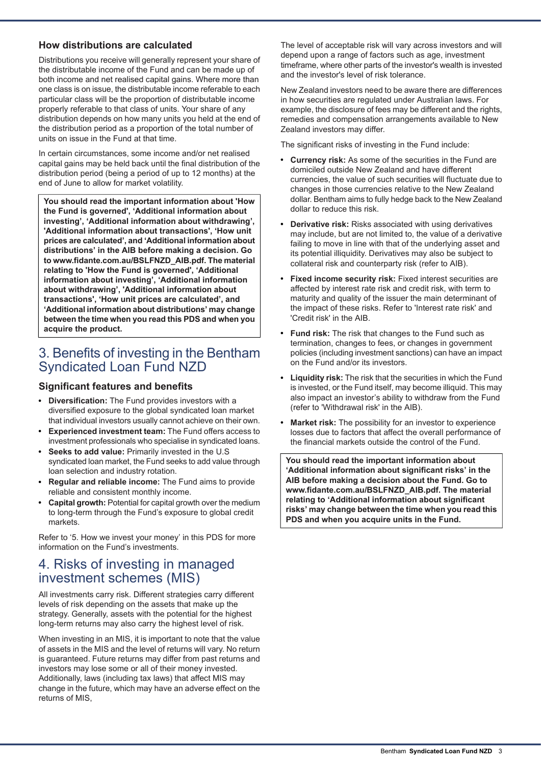### **How distributions are calculated**

Distributions you receive will generally represent your share of the distributable income of the Fund and can be made up of both income and net realised capital gains. Where more than one class is on issue, the distributable income referable to each particular class will be the proportion of distributable income properly referable to that class of units. Your share of any distribution depends on how many units you held at the end of the distribution period as a proportion of the total number of units on issue in the Fund at that time.

In certain circumstances, some income and/or net realised capital gains may be held back until the final distribution of the distribution period (being a period of up to 12 months) at the end of June to allow for market volatility.

**You should read the important information about 'How the Fund is governed', 'Additional information about investing', 'Additional information about withdrawing', 'Additional information about transactions', 'How unit prices are calculated', and 'Additional information about distributions' in the AIB before making a decision. Go to www.fidante.com.au/BSLFNZD\_AIB.pdf. The material relating to 'How the Fund is governed', 'Additional information about investing', 'Additional information about withdrawing', 'Additional information about transactions', 'How unit prices are calculated', and 'Additional information about distributions' may change between the time when you read this PDS and when you acquire the product.**

# 3. Benefits of investing in the Bentham Syndicated Loan Fund NZD

#### **Significant features and benefits**

- **Diversification:** The Fund provides investors with a diversified exposure to the global syndicated loan market that individual investors usually cannot achieve on their own.
- **Experienced investment team:** The Fund offers access to investment professionals who specialise in syndicated loans.
- **Seeks to add value:** Primarily invested in the U.S syndicated loan market, the Fund seeks to add value through loan selection and industry rotation.
- **Regular and reliable income:** The Fund aims to provide reliable and consistent monthly income.
- **Capital growth:** Potential for capital growth over the medium to long-term through the Fund's exposure to global credit markets.

Refer to '5. How we invest your money' in this PDS for more information on the Fund's investments.

# 4. Risks of investing in managed investment schemes (MIS)

All investments carry risk. Different strategies carry different levels of risk depending on the assets that make up the strategy. Generally, assets with the potential for the highest long-term returns may also carry the highest level of risk.

When investing in an MIS, it is important to note that the value of assets in the MIS and the level of returns will vary. No return is guaranteed. Future returns may differ from past returns and investors may lose some or all of their money invested. Additionally, laws (including tax laws) that affect MIS may change in the future, which may have an adverse effect on the returns of MIS,

The level of acceptable risk will vary across investors and will depend upon a range of factors such as age, investment timeframe, where other parts of the investor's wealth is invested and the investor's level of risk tolerance.

New Zealand investors need to be aware there are differences in how securities are regulated under Australian laws. For example, the disclosure of fees may be different and the rights, remedies and compensation arrangements available to New Zealand investors may differ.

The significant risks of investing in the Fund include:

- **Currency risk:** As some of the securities in the Fund are  $\bullet$ domiciled outside New Zealand and have different currencies, the value of such securities will fluctuate due to changes in those currencies relative to the New Zealand dollar. Bentham aims to fully hedge back to the New Zealand dollar to reduce this risk.
- **Derivative risk:** Risks associated with using derivatives may include, but are not limited to, the value of a derivative failing to move in line with that of the underlying asset and its potential illiquidity. Derivatives may also be subject to collateral risk and counterparty risk (refer to AIB).
- **Fixed income security risk:** Fixed interest securities are affected by interest rate risk and credit risk, with term to maturity and quality of the issuer the main determinant of the impact of these risks. Refer to 'Interest rate risk' and 'Credit risk' in the AIB.
- **Fund risk:** The risk that changes to the Fund such as  $\bullet$ termination, changes to fees, or changes in government policies (including investment sanctions) can have an impact on the Fund and/or its investors.
- **Liquidity risk:** The risk that the securities in which the Fund is invested, or the Fund itself, may become illiquid. This may also impact an investor's ability to withdraw from the Fund (refer to 'Withdrawal risk' in the AIB).
- **Market risk:** The possibility for an investor to experience losses due to factors that affect the overall performance of the financial markets outside the control of the Fund.

**You should read the important information about 'Additional information about significant risks' in the AIB before making a decision about the Fund. Go to www.fidante.com.au/BSLFNZD\_AIB.pdf. The material relating to 'Additional information about significant risks' may change between the time when you read this PDS and when you acquire units in the Fund.**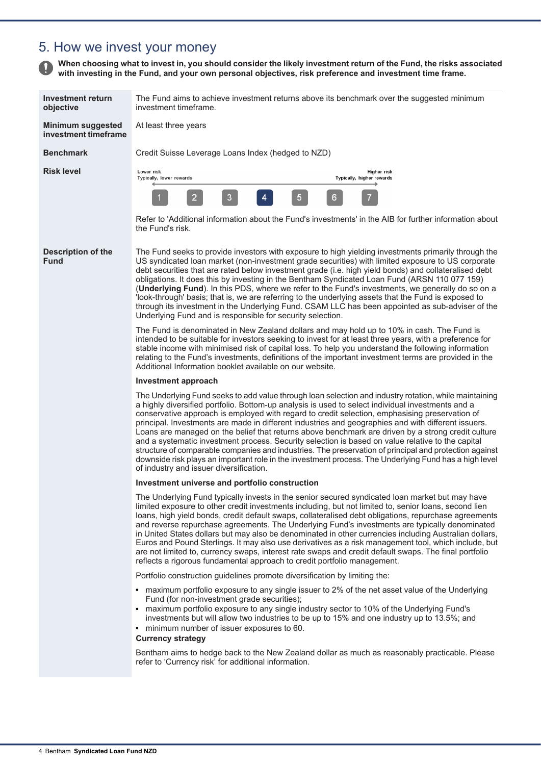# 5. How we invest your money

When choosing what to invest in, you should consider the likely investment return of the Fund, the risks associated **with investing in the Fund, and your own personal objectives, risk preference and investment time frame.**

| <b>Investment return</b><br>objective            | The Fund aims to achieve investment returns above its benchmark over the suggested minimum<br>investment timeframe.                                                                                                                                                                                                                                                                                                                                                                                                                                                                                                                                                                                                                                                                                                                                                                           |  |  |
|--------------------------------------------------|-----------------------------------------------------------------------------------------------------------------------------------------------------------------------------------------------------------------------------------------------------------------------------------------------------------------------------------------------------------------------------------------------------------------------------------------------------------------------------------------------------------------------------------------------------------------------------------------------------------------------------------------------------------------------------------------------------------------------------------------------------------------------------------------------------------------------------------------------------------------------------------------------|--|--|
| <b>Minimum suggested</b><br>investment timeframe | At least three years                                                                                                                                                                                                                                                                                                                                                                                                                                                                                                                                                                                                                                                                                                                                                                                                                                                                          |  |  |
| <b>Benchmark</b>                                 | Credit Suisse Leverage Loans Index (hedged to NZD)                                                                                                                                                                                                                                                                                                                                                                                                                                                                                                                                                                                                                                                                                                                                                                                                                                            |  |  |
| <b>Risk level</b>                                | Lower risk<br>Higher risk<br>Typically, lower rewards<br>Typically, higher rewards                                                                                                                                                                                                                                                                                                                                                                                                                                                                                                                                                                                                                                                                                                                                                                                                            |  |  |
|                                                  | 5<br>3<br>4<br>$\overline{2}$<br>6                                                                                                                                                                                                                                                                                                                                                                                                                                                                                                                                                                                                                                                                                                                                                                                                                                                            |  |  |
|                                                  | Refer to 'Additional information about the Fund's investments' in the AIB for further information about<br>the Fund's risk.                                                                                                                                                                                                                                                                                                                                                                                                                                                                                                                                                                                                                                                                                                                                                                   |  |  |
| <b>Description of the</b><br><b>Fund</b>         | The Fund seeks to provide investors with exposure to high yielding investments primarily through the<br>US syndicated loan market (non-investment grade securities) with limited exposure to US corporate<br>debt securities that are rated below investment grade (i.e. high yield bonds) and collateralised debt<br>obligations. It does this by investing in the Bentham Syndicated Loan Fund (ARSN 110 077 159)<br>(Underlying Fund). In this PDS, where we refer to the Fund's investments, we generally do so on a<br>'look-through' basis; that is, we are referring to the underlying assets that the Fund is exposed to<br>through its investment in the Underlying Fund. CSAM LLC has been appointed as sub-adviser of the<br>Underlying Fund and is responsible for security selection.                                                                                            |  |  |
|                                                  | The Fund is denominated in New Zealand dollars and may hold up to 10% in cash. The Fund is<br>intended to be suitable for investors seeking to invest for at least three years, with a preference for<br>stable income with minimised risk of capital loss. To help you understand the following information<br>relating to the Fund's investments, definitions of the important investment terms are provided in the<br>Additional Information booklet available on our website.                                                                                                                                                                                                                                                                                                                                                                                                             |  |  |
|                                                  | Investment approach                                                                                                                                                                                                                                                                                                                                                                                                                                                                                                                                                                                                                                                                                                                                                                                                                                                                           |  |  |
|                                                  | The Underlying Fund seeks to add value through loan selection and industry rotation, while maintaining<br>a highly diversified portfolio. Bottom-up analysis is used to select individual investments and a<br>conservative approach is employed with regard to credit selection, emphasising preservation of<br>principal. Investments are made in different industries and geographies and with different issuers.<br>Loans are managed on the belief that returns above benchmark are driven by a strong credit culture<br>and a systematic investment process. Security selection is based on value relative to the capital<br>structure of comparable companies and industries. The preservation of principal and protection against<br>downside risk plays an important role in the investment process. The Underlying Fund has a high level<br>of industry and issuer diversification. |  |  |
|                                                  | Investment universe and portfolio construction                                                                                                                                                                                                                                                                                                                                                                                                                                                                                                                                                                                                                                                                                                                                                                                                                                                |  |  |
|                                                  | The Underlying Fund typically invests in the senior secured syndicated loan market but may have<br>limited exposure to other credit investments including, but not limited to, senior loans, second lien<br>loans, high yield bonds, credit default swaps, collateralised debt obligations, repurchase agreements<br>and reverse repurchase agreements. The Underlying Fund's investments are typically denominated<br>in United States dollars but may also be denominated in other currencies including Australian dollars,<br>Euros and Pound Sterlings. It may also use derivatives as a risk management tool, which include, but<br>are not limited to, currency swaps, interest rate swaps and credit default swaps. The final portfolio<br>reflects a rigorous fundamental approach to credit portfolio management.                                                                    |  |  |
|                                                  | Portfolio construction guidelines promote diversification by limiting the:                                                                                                                                                                                                                                                                                                                                                                                                                                                                                                                                                                                                                                                                                                                                                                                                                    |  |  |
|                                                  | maximum portfolio exposure to any single issuer to 2% of the net asset value of the Underlying<br>٠<br>Fund (for non-investment grade securities);<br>maximum portfolio exposure to any single industry sector to 10% of the Underlying Fund's<br>investments but will allow two industries to be up to 15% and one industry up to 13.5%; and<br>minimum number of issuer exposures to 60.<br>٠<br><b>Currency strategy</b>                                                                                                                                                                                                                                                                                                                                                                                                                                                                   |  |  |
|                                                  | Bentham aims to hedge back to the New Zealand dollar as much as reasonably practicable. Please<br>refer to 'Currency risk' for additional information.                                                                                                                                                                                                                                                                                                                                                                                                                                                                                                                                                                                                                                                                                                                                        |  |  |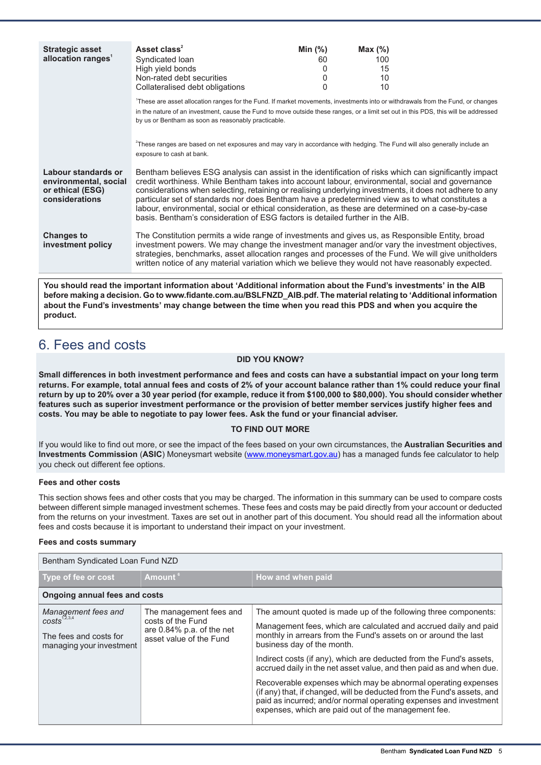| <b>Strategic asset</b>             | Asset class <sup>2</sup>                                                                                                                                                                                                                                              | Min $(%)$ | Max $(\%)$ |  |
|------------------------------------|-----------------------------------------------------------------------------------------------------------------------------------------------------------------------------------------------------------------------------------------------------------------------|-----------|------------|--|
| allocation ranges <sup>1</sup>     | Syndicated Ioan                                                                                                                                                                                                                                                       | 60        | 100        |  |
|                                    | High yield bonds<br>Non-rated debt securities                                                                                                                                                                                                                         | 0<br>0    | 15<br>10   |  |
|                                    | Collateralised debt obligations                                                                                                                                                                                                                                       | 0         | 10         |  |
|                                    |                                                                                                                                                                                                                                                                       |           |            |  |
|                                    | These are asset allocation ranges for the Fund. If market movements, investments into or withdrawals from the Fund, or changes<br>in the nature of an investment, cause the Fund to move outside these ranges, or a limit set out in this PDS, this will be addressed |           |            |  |
|                                    | by us or Bentham as soon as reasonably practicable.                                                                                                                                                                                                                   |           |            |  |
|                                    |                                                                                                                                                                                                                                                                       |           |            |  |
|                                    | <sup>2</sup> These ranges are based on net exposures and may vary in accordance with hedging. The Fund will also generally include an                                                                                                                                 |           |            |  |
|                                    | exposure to cash at bank.                                                                                                                                                                                                                                             |           |            |  |
|                                    |                                                                                                                                                                                                                                                                       |           |            |  |
| Labour standards or                | Bentham believes ESG analysis can assist in the identification of risks which can significantly impact                                                                                                                                                                |           |            |  |
| environmental, social              | credit worthiness. While Bentham takes into account labour, environmental, social and governance                                                                                                                                                                      |           |            |  |
| or ethical (ESG)<br>considerations | considerations when selecting, retaining or realising underlying investments, it does not adhere to any<br>particular set of standards nor does Bentham have a predetermined view as to what constitutes a                                                            |           |            |  |
|                                    | labour, environmental, social or ethical consideration, as these are determined on a case-by-case                                                                                                                                                                     |           |            |  |
|                                    | basis. Bentham's consideration of ESG factors is detailed further in the AIB.                                                                                                                                                                                         |           |            |  |
|                                    |                                                                                                                                                                                                                                                                       |           |            |  |
| <b>Changes to</b>                  | The Constitution permits a wide range of investments and gives us, as Responsible Entity, broad                                                                                                                                                                       |           |            |  |
| investment policy                  | investment powers. We may change the investment manager and/or vary the investment objectives,<br>strategies, benchmarks, asset allocation ranges and processes of the Fund. We will give unitholders                                                                 |           |            |  |
|                                    | written notice of any material variation which we believe they would not have reasonably expected.                                                                                                                                                                    |           |            |  |
|                                    |                                                                                                                                                                                                                                                                       |           |            |  |

**You should read the important information about 'Additional information about the Fund's investments' in the AIB before making a decision. Go to www.fidante.com.au/BSLFNZD\_AIB.pdf. The material relating to 'Additional information** about the Fund's investments' may change between the time when you read this PDS and when you acquire the **product.**

# 6. Fees and costs

#### **DID YOU KNOW?**

Small differences in both investment performance and fees and costs can have a substantial impact on your long term returns. For example, total annual fees and costs of 2% of your account balance rather than 1% could reduce your final return by up to 20% over a 30 year period (for example, reduce it from \$100,000 to \$80,000). You should consider whether features such as superior investment performance or the provision of better member services justify higher fees and **costs. You may be able to negotiate to pay lower fees. Ask the fund or your financial adviser.**

#### **TO FIND OUT MORE**

If you would like to find out more, or see the impact of the fees based on your own circumstances, the **Australian Securities and Investments Commission** (**ASIC**) Moneysmart website (www.moneysmart.gov.au) has a managed funds fee calculator to help you check out different fee options.

#### **Fees and other costs**

This section shows fees and other costs that you may be charged. The information in this summary can be used to compare costs between different simple managed investment schemes. These fees and costs may be paid directly from your account or deducted from the returns on your investment. Taxes are set out in another part of this document. You should read all the information about fees and costs because it is important to understand their impact on your investment.

#### **Fees and costs summary**

| Bentham Syndicated Loan Fund NZD                                                                      |                                                                                                         |                                                                                                                                                                                                                                                                                                                                                                                                                                                                                                                                                                                                                                                             |  |
|-------------------------------------------------------------------------------------------------------|---------------------------------------------------------------------------------------------------------|-------------------------------------------------------------------------------------------------------------------------------------------------------------------------------------------------------------------------------------------------------------------------------------------------------------------------------------------------------------------------------------------------------------------------------------------------------------------------------------------------------------------------------------------------------------------------------------------------------------------------------------------------------------|--|
| Type of fee or cost                                                                                   | Amount <sup>6</sup>                                                                                     | How and when paid                                                                                                                                                                                                                                                                                                                                                                                                                                                                                                                                                                                                                                           |  |
| <b>Ongoing annual fees and costs</b>                                                                  |                                                                                                         |                                                                                                                                                                                                                                                                                                                                                                                                                                                                                                                                                                                                                                                             |  |
| Management fees and<br>costs <sup>1,2,3,4</sup><br>The fees and costs for<br>managing your investment | The management fees and<br>costs of the Fund<br>are $0.84\%$ p.a. of the net<br>asset value of the Fund | The amount quoted is made up of the following three components:<br>Management fees, which are calculated and accrued daily and paid<br>monthly in arrears from the Fund's assets on or around the last<br>business day of the month.<br>Indirect costs (if any), which are deducted from the Fund's assets,<br>accrued daily in the net asset value, and then paid as and when due.<br>Recoverable expenses which may be abnormal operating expenses<br>(if any) that, if changed, will be deducted from the Fund's assets, and<br>paid as incurred; and/or normal operating expenses and investment<br>expenses, which are paid out of the management fee. |  |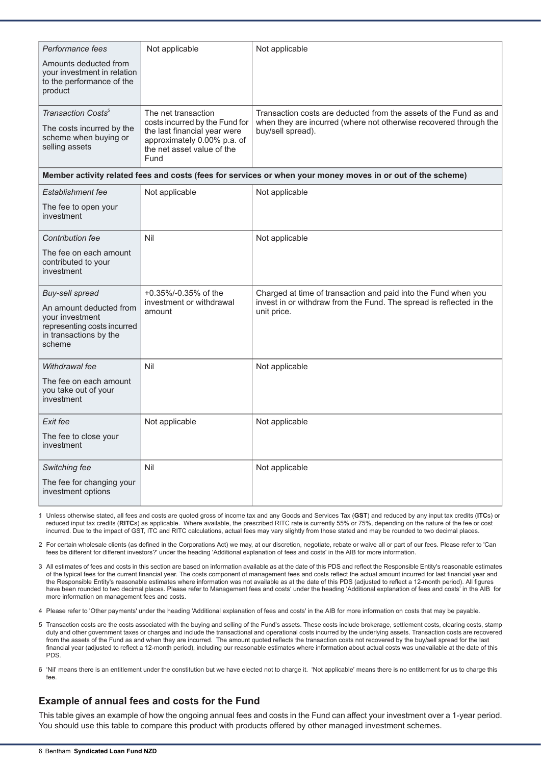| Performance fees<br>Amounts deducted from<br>your investment in relation<br>to the performance of the<br>product<br>Transaction Costs <sup>5</sup> | Not applicable<br>The net transaction                                                                                               | Not applicable<br>Transaction costs are deducted from the assets of the Fund as and                                                                  |
|----------------------------------------------------------------------------------------------------------------------------------------------------|-------------------------------------------------------------------------------------------------------------------------------------|------------------------------------------------------------------------------------------------------------------------------------------------------|
| The costs incurred by the<br>scheme when buying or<br>selling assets                                                                               | costs incurred by the Fund for<br>the last financial year were<br>approximately 0.00% p.a. of<br>the net asset value of the<br>Fund | when they are incurred (where not otherwise recovered through the<br>buy/sell spread).                                                               |
|                                                                                                                                                    |                                                                                                                                     | Member activity related fees and costs (fees for services or when your money moves in or out of the scheme)                                          |
| Establishment fee                                                                                                                                  | Not applicable                                                                                                                      | Not applicable                                                                                                                                       |
| The fee to open your<br>investment                                                                                                                 |                                                                                                                                     |                                                                                                                                                      |
| Contribution fee                                                                                                                                   | Nil                                                                                                                                 | Not applicable                                                                                                                                       |
| The fee on each amount<br>contributed to your<br>investment                                                                                        |                                                                                                                                     |                                                                                                                                                      |
| Buy-sell spread<br>An amount deducted from<br>your investment<br>representing costs incurred<br>in transactions by the<br>scheme                   | +0.35%/-0.35% of the<br>investment or withdrawal<br>amount                                                                          | Charged at time of transaction and paid into the Fund when you<br>invest in or withdraw from the Fund. The spread is reflected in the<br>unit price. |
| Withdrawal fee                                                                                                                                     | Nil                                                                                                                                 | Not applicable                                                                                                                                       |
| The fee on each amount<br>you take out of your<br>investment                                                                                       |                                                                                                                                     |                                                                                                                                                      |
| Exit fee                                                                                                                                           | Not applicable                                                                                                                      | Not applicable                                                                                                                                       |
| The fee to close your<br>investment                                                                                                                |                                                                                                                                     |                                                                                                                                                      |
| Switching fee                                                                                                                                      | Nil                                                                                                                                 | Not applicable                                                                                                                                       |
| The fee for changing your<br>investment options                                                                                                    |                                                                                                                                     |                                                                                                                                                      |

1. Unless otherwise stated, all fees and costs are quoted gross of income tax and any Goods and Services Tax (**GST**) and reduced by any input tax credits (**ITC**s) or reduced input tax credits (**RITC**s) as applicable. Where available, the prescribed RITC rate is currently 55% or 75%, depending on the nature of the fee or cost incurred. Due to the impact of GST, ITC and RITC calculations, actual fees may vary slightly from those stated and may be rounded to two decimal places.

2. For certain wholesale clients (as defined in the Corporations Act) we may, at our discretion, negotiate, rebate or waive all or part of our fees. Please refer to 'Can fees be different for different investors?' under the heading 'Additional explanation of fees and costs' in the AIB for more information.

3. All estimates of fees and costs in this section are based on information available as at the date of this PDS and reflect the Responsible Entity's reasonable estimates of the typical fees for the current financial year. The costs component of management fees and costs reflect the actual amount incurred for last financial year and the Responsible Entity's reasonable estimates where information was not available as at the date of this PDS (adjusted to reflect a 12-month period). All figures have been rounded to two decimal places. Please refer to Management fees and costs' under the heading 'Additional explanation of fees and costs' in the AIB for more information on management fees and costs.

4. Please refer to 'Other payments' under the heading 'Additional explanation of fees and costs' in the AIB for more information on costs that may be payable.

- 5. Transaction costs are the costs associated with the buying and selling of the Fund's assets. These costs include brokerage, settlement costs, clearing costs, stamp duty and other government taxes or charges and include the transactional and operational costs incurred by the underlying assets. Transaction costs are recovered from the assets of the Fund as and when they are incurred. The amount quoted reflects the transaction costs not recovered by the buy/sell spread for the last financial year (adjusted to reflect a 12-month period), including our reasonable estimates where information about actual costs was unavailable at the date of this PDS.
- 6. 'Nil' means there is an entitlement under the constitution but we have elected not to charge it. 'Not applicable' means there is no entitlement for us to charge this fee.

# **Example of annual fees and costs for the Fund**

This table gives an example of how the ongoing annual fees and costs in the Fund can affect your investment over a 1-year period. You should use this table to compare this product with products offered by other managed investment schemes.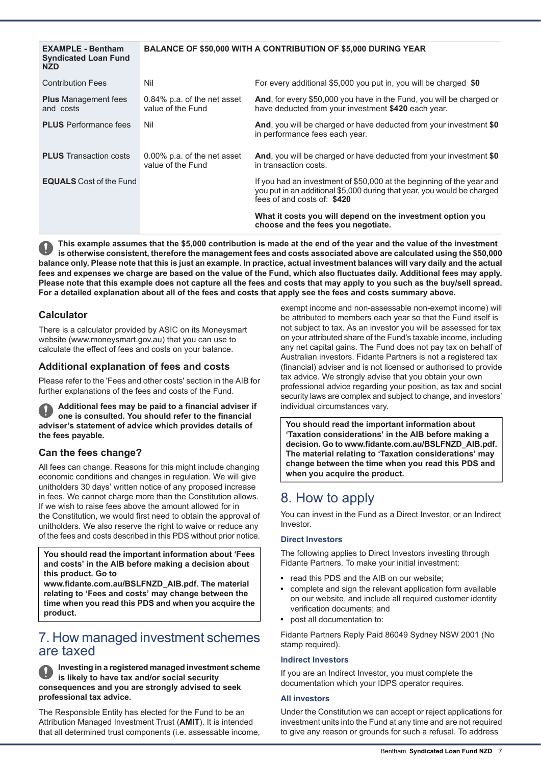| <b>EXAMPLE - Bentham</b><br><b>Syndicated Loan Fund</b><br><b>NZD</b> | <b>BALANCE OF \$50,000 WITH A CONTRIBUTION OF \$5,000 DURING YEAR</b> |                                                                                                                                                                                 |
|-----------------------------------------------------------------------|-----------------------------------------------------------------------|---------------------------------------------------------------------------------------------------------------------------------------------------------------------------------|
| <b>Contribution Fees</b>                                              | Nil                                                                   | For every additional \$5,000 you put in, you will be charged \$0                                                                                                                |
| <b>Plus</b> Management fees<br>and costs                              | 0.84% p.a. of the net asset<br>value of the Fund                      | And, for every \$50,000 you have in the Fund, you will be charged or<br>have deducted from your investment \$420 each year.                                                     |
| <b>PLUS</b> Performance fees                                          | Nil                                                                   | And, you will be charged or have deducted from your investment \$0<br>in performance fees each year.                                                                            |
| <b>PLUS</b> Transaction costs                                         | 0.00% p.a. of the net asset<br>value of the Fund                      | And, you will be charged or have deducted from your investment \$0<br>in transaction costs.                                                                                     |
| <b>EQUALS</b> Cost of the Fund                                        |                                                                       | If you had an investment of \$50,000 at the beginning of the year and<br>you put in an additional \$5,000 during that year, you would be charged<br>fees of and costs of: \$420 |
|                                                                       |                                                                       | What it costs you will depend on the investment option you<br>choose and the fees you negotiate.                                                                                |

This example assumes that the \$5,000 contribution is made at the end of the year and the value of the investment is otherwise consistent, therefore the management fees and costs associated above are calculated using the \$50,000 balance only. Please note that this is just an example. In practice, actual investment balances will vary daily and the actual fees and expenses we charge are based on the value of the Fund, which also fluctuates daily. Additional fees may apply. Please note that this example does not capture all the fees and costs that may apply to you such as the buy/sell spread. For a detailed explanation about all of the fees and costs that apply see the fees and costs summary above.

### **Calculator**

There is a calculator provided by ASIC on its Moneysmart website (www.moneysmart.gov.au) that you can use to calculate the effect of fees and costs on your balance.

## **Additional explanation of fees and costs**

Please refer to the 'Fees and other costs' section in the AIB for further explanations of the fees and costs of the Fund.

**Additional fees may be paid to a financial adviser if one is consulted. You should refer to the financial adviser's statement of advice which provides details of the fees payable.**

## **Can the fees change?**

All fees can change. Reasons for this might include changing economic conditions and changes in regulation. We will give unitholders 30 days' written notice of any proposed increase in fees. We cannot charge more than the Constitution allows. If we wish to raise fees above the amount allowed for in the Constitution, we would first need to obtain the approval of unitholders. We also reserve the right to waive or reduce any of the fees and costs described in this PDS without prior notice.

#### **You should read the important information about 'Fees and costs' in the AIB before making a decision about this product. Go to**

**www.fidante.com.au/BSLFNZD\_AIB.pdf. The material relating to 'Fees and costs' may change between the time when you read this PDS and when you acquire the product.**

# 7. How managed investment schemes are taxed

**Investing in a registered managed investment scheme is likely to have tax and/or social security consequences and you are strongly advised to seek professional tax advice.**

The Responsible Entity has elected for the Fund to be an Attribution Managed Investment Trust (**AMIT**). It is intended that all determined trust components (i.e. assessable income, exempt income and non-assessable non-exempt income) will be attributed to members each year so that the Fund itself is not subject to tax. As an investor you will be assessed for tax on your attributed share of the Fund's taxable income, including any net capital gains. The Fund does not pay tax on behalf of Australian investors. Fidante Partners is not a registered tax (financial) adviser and is not licensed or authorised to provide tax advice. We strongly advise that you obtain your own professional advice regarding your position, as tax and social security laws are complex and subject to change, and investors' individual circumstances vary.

**You should read the important information about 'Taxation considerations' in the AIB before making a decision. Go to www.fidante.com.au/BSLFNZD\_AIB.pdf. The material relating to 'Taxation considerations' may change between the time when you read this PDS and when you acquire the product.**

# 8. How to apply

You can invest in the Fund as a Direct Investor, or an Indirect Investor.

#### **Direct Investors**

The following applies to Direct Investors investing through Fidante Partners. To make your initial investment:

- $\bullet$ read this PDS and the AIB on our website;
- complete and sign the relevant application form available on our website, and include all required customer identity verification documents; and
- post all documentation to:

Fidante Partners Reply Paid 86049 Sydney NSW 2001 (No stamp required).

#### **Indirect Investors**

If you are an Indirect Investor, you must complete the documentation which your IDPS operator requires.

#### **All investors**

Under the Constitution we can accept or reject applications for investment units into the Fund at any time and are not required to give any reason or grounds for such a refusal. To address